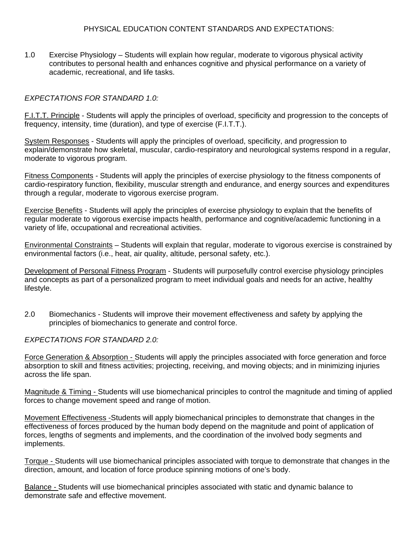## PHYSICAL EDUCATION CONTENT STANDARDS AND EXPECTATIONS:

1.0 Exercise Physiology – Students will explain how regular, moderate to vigorous physical activity contributes to personal health and enhances cognitive and physical performance on a variety of academic, recreational, and life tasks.

## *EXPECTATIONS FOR STANDARD 1.0:*

F.I.T.T. Principle - Students will apply the principles of overload, specificity and progression to the concepts of frequency, intensity, time (duration), and type of exercise (F.I.T.T.).

System Responses - Students will apply the principles of overload, specificity, and progression to explain/demonstrate how skeletal, muscular, cardio-respiratory and neurological systems respond in a regular, moderate to vigorous program.

Fitness Components - Students will apply the principles of exercise physiology to the fitness components of cardio-respiratory function, flexibility, muscular strength and endurance, and energy sources and expenditures through a regular, moderate to vigorous exercise program.

Exercise Benefits - Students will apply the principles of exercise physiology to explain that the benefits of regular moderate to vigorous exercise impacts health, performance and cognitive/academic functioning in a variety of life, occupational and recreational activities.

Environmental Constraints – Students will explain that regular, moderate to vigorous exercise is constrained by environmental factors (i.e., heat, air quality, altitude, personal safety, etc.).

Development of Personal Fitness Program - Students will purposefully control exercise physiology principles and concepts as part of a personalized program to meet individual goals and needs for an active, healthy lifestyle.

2.0 Biomechanics - Students will improve their movement effectiveness and safety by applying the principles of biomechanics to generate and control force.

*EXPECTATIONS FOR STANDARD 2.0:* 

Force Generation & Absorption - Students will apply the principles associated with force generation and force absorption to skill and fitness activities; projecting, receiving, and moving objects; and in minimizing injuries across the life span.

Magnitude & Timing - Students will use biomechanical principles to control the magnitude and timing of applied forces to change movement speed and range of motion.

Movement Effectiveness -Students will apply biomechanical principles to demonstrate that changes in the effectiveness of forces produced by the human body depend on the magnitude and point of application of forces, lengths of segments and implements, and the coordination of the involved body segments and implements.

Torque - Students will use biomechanical principles associated with torque to demonstrate that changes in the direction, amount, and location of force produce spinning motions of one's body.

Balance - Students will use biomechanical principles associated with static and dynamic balance to demonstrate safe and effective movement.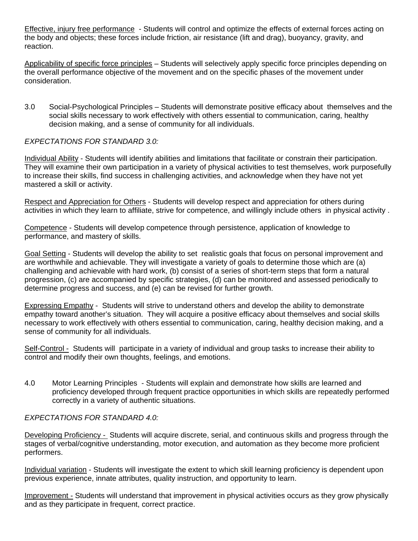Effective, injury free performance - Students will control and optimize the effects of external forces acting on the body and objects; these forces include friction, air resistance (lift and drag), buoyancy, gravity, and reaction.

Applicability of specific force principles – Students will selectively apply specific force principles depending on the overall performance objective of the movement and on the specific phases of the movement under consideration.

3.0 Social-Psychological Principles – Students will demonstrate positive efficacy about themselves and the social skills necessary to work effectively with others essential to communication, caring, healthy decision making, and a sense of community for all individuals.

# *EXPECTATIONS FOR STANDARD 3.0:*

Individual Ability - Students will identify abilities and limitations that facilitate or constrain their participation. They will examine their own participation in a variety of physical activities to test themselves, work purposefully to increase their skills, find success in challenging activities, and acknowledge when they have not yet mastered a skill or activity.

Respect and Appreciation for Others - Students will develop respect and appreciation for others during activities in which they learn to affiliate, strive for competence, and willingly include others in physical activity .

Competence - Students will develop competence through persistence, application of knowledge to performance, and mastery of skills.

Goal Setting - Students will develop the ability to set realistic goals that focus on personal improvement and are worthwhile and achievable. They will investigate a variety of goals to determine those which are (a) challenging and achievable with hard work, (b) consist of a series of short-term steps that form a natural progression, (c) are accompanied by specific strategies, (d) can be monitored and assessed periodically to determine progress and success, and (e) can be revised for further growth.

Expressing Empathy - Students will strive to understand others and develop the ability to demonstrate empathy toward another's situation. They will acquire a positive efficacy about themselves and social skills necessary to work effectively with others essential to communication, caring, healthy decision making, and a sense of community for all individuals.

Self-Control - Students will participate in a variety of individual and group tasks to increase their ability to control and modify their own thoughts, feelings, and emotions.

4.0 Motor Learning Principles - Students will explain and demonstrate how skills are learned and proficiency developed through frequent practice opportunities in which skills are repeatedly performed correctly in a variety of authentic situations.

## *EXPECTATIONS FOR STANDARD 4.0:*

Developing Proficiency - Students will acquire discrete, serial, and continuous skills and progress through the stages of verbal/cognitive understanding, motor execution, and automation as they become more proficient performers.

Individual variation - Students will investigate the extent to which skill learning proficiency is dependent upon previous experience, innate attributes, quality instruction, and opportunity to learn.

Improvement - Students will understand that improvement in physical activities occurs as they grow physically and as they participate in frequent, correct practice.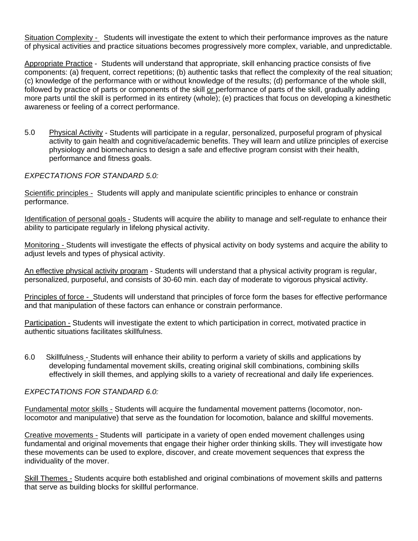Situation Complexity - Students will investigate the extent to which their performance improves as the nature of physical activities and practice situations becomes progressively more complex, variable, and unpredictable.

Appropriate Practice - Students will understand that appropriate, skill enhancing practice consists of five components: (a) frequent, correct repetitions; (b) authentic tasks that reflect the complexity of the real situation; (c) knowledge of the performance with or without knowledge of the results; (d) performance of the whole skill, followed by practice of parts or components of the skill or performance of parts of the skill, gradually adding more parts until the skill is performed in its entirety (whole); (e) practices that focus on developing a kinesthetic awareness or feeling of a correct performance.

5.0 Physical Activity - Students will participate in a regular, personalized, purposeful program of physical activity to gain health and cognitive/academic benefits. They will learn and utilize principles of exercise physiology and biomechanics to design a safe and effective program consist with their health, performance and fitness goals.

## *EXPECTATIONS FOR STANDARD 5.0:*

Scientific principles - Students will apply and manipulate scientific principles to enhance or constrain performance.

Identification of personal goals - Students will acquire the ability to manage and self-regulate to enhance their ability to participate regularly in lifelong physical activity.

Monitoring - Students will investigate the effects of physical activity on body systems and acquire the ability to adjust levels and types of physical activity.

An effective physical activity program - Students will understand that a physical activity program is regular, personalized, purposeful, and consists of 30-60 min. each day of moderate to vigorous physical activity.

Principles of force - Students will understand that principles of force form the bases for effective performance and that manipulation of these factors can enhance or constrain performance.

Participation - Students will investigate the extent to which participation in correct, motivated practice in authentic situations facilitates skillfulness.

6.0 Skillfulness - Students will enhance their ability to perform a variety of skills and applications by developing fundamental movement skills, creating original skill combinations, combining skills effectively in skill themes, and applying skills to a variety of recreational and daily life experiences.

## *EXPECTATIONS FOR STANDARD 6.0:*

Fundamental motor skills - Students will acquire the fundamental movement patterns (locomotor, nonlocomotor and manipulative) that serve as the foundation for locomotion, balance and skillful movements.

Creative movements - Students will participate in a variety of open ended movement challenges using fundamental and original movements that engage their higher order thinking skills. They will investigate how these movements can be used to explore, discover, and create movement sequences that express the individuality of the mover.

Skill Themes - Students acquire both established and original combinations of movement skills and patterns that serve as building blocks for skillful performance.